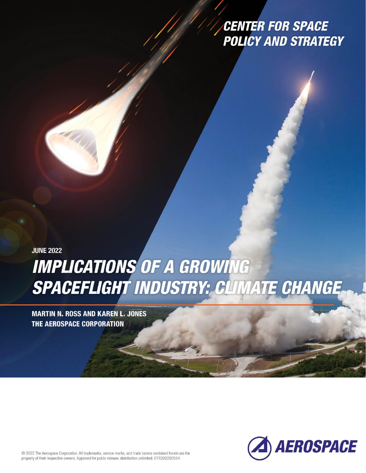# **CENTER FOR SPACE POLICY AND STRATEGY**

**JUNE 2022 IMPLICATIONS OF A GROWING** SPACEFLIGHT INDUSTRY: CLIMATE CHANGE.

**MARTIN N. ROSS AND KAREN L. JONES THE AEROSPACE CORPORATION** 

Insert Cover jpeg here. Make wrapping "In front of text."



© 2022 The Aerospace Corporation. All trademarks, service marks, and trade names contained herein are the property of their respective owners. Approved for public release; distribution unlimited. OTR202200554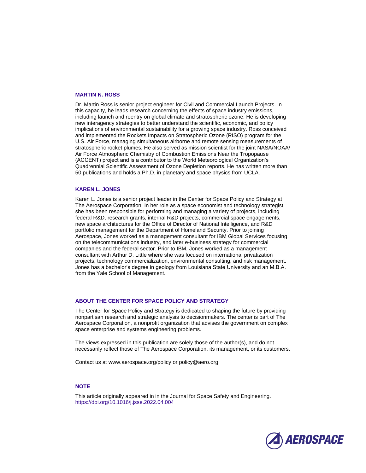#### **MARTIN N. ROSS**

Dr. Martin Ross is senior project engineer for Civil and Commercial Launch Projects. In this capacity, he leads research concerning the effects of space industry emissions, including launch and reentry on global climate and stratospheric ozone. He is developing new interagency strategies to better understand the scientific, economic, and policy implications of environmental sustainability for a growing space industry. Ross conceived and implemented the Rockets Impacts on Stratospheric Ozone (RISO) program for the U.S. Air Force, managing simultaneous airborne and remote sensing measurements of stratospheric rocket plumes. He also served as mission scientist for the joint NASA/NOAA/ Air Force Atmospheric Chemistry of Combustion Emissions Near the Tropopause (ACCENT) project and is a contributor to the World Meteorological Organization's Quadrennial Scientific Assessment of Ozone Depletion reports. He has written more than 50 publications and holds a Ph.D. in planetary and space physics from UCLA.

#### **KAREN L. JONES**

Karen L. Jones is a senior project leader in the Center for Space Policy and Strategy at The Aerospace Corporation. In her role as a space economist and technology strategist, she has been responsible for performing and managing a variety of projects, including federal R&D, research grants, internal R&D projects, commercial space engagements, new space architectures for the Office of Director of National Intelligence, and R&D portfolio management for the Department of Homeland Security. Prior to joining Aerospace, Jones worked as a management consultant for IBM Global Services focusing on the telecommunications industry, and later e-business strategy for commercial companies and the federal sector. Prior to IBM, Jones worked as a management consultant with Arthur D. Little where she was focused on international privatization projects, technology commercialization, environmental consulting, and risk management. Jones has a bachelor's degree in geology from Louisiana State University and an M.B.A. from the Yale School of Management.

#### **ABOUT THE CENTER FOR SPACE POLICY AND STRATEGY**

The Center for Space Policy and Strategy is dedicated to shaping the future by providing nonpartisan research and strategic analysis to decisionmakers. The center is part of The Aerospace Corporation, a nonprofit organization that advises the government on complex space enterprise and systems engineering problems.

The views expressed in this publication are solely those of the author(s), and do not necessarily reflect those of The Aerospace Corporation, its management, or its customers.

Contact us at www.aerospace.org/policy or policy@aero.org

#### **NOTE**

This article originally appeared in in the Journal for Space Safety and Engineering. <https://doi.org/10.1016/j.jsse.2022.04.004>

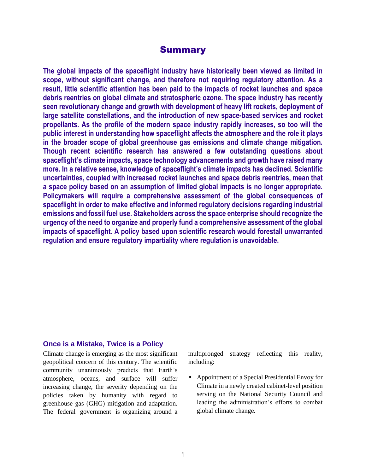# **Summary**

**The global impacts of the spaceflight industry have historically been viewed as limited in scope, without significant change, and therefore not requiring regulatory attention. As a result, little scientific attention has been paid to the impacts of rocket launches and space debris reentries on global climate and stratospheric ozone. The space industry has recently seen revolutionary change and growth with development of heavy lift rockets, deployment of large satellite constellations, and the introduction of new space-based services and rocket propellants. As the profile of the modern space industry rapidly increases, so too will the public interest in understanding how spaceflight affects the atmosphere and the role it plays in the broader scope of global greenhouse gas emissions and climate change mitigation. Though recent scientific research has answered a few outstanding questions about spaceflight's climate impacts, space technology advancements and growth have raised many more. In a relative sense, knowledge of spaceflight's climate impacts has declined. Scientific uncertainties, coupled with increased rocket launches and space debris reentries, mean that a space policy based on an assumption of limited global impacts is no longer appropriate. Policymakers will require a comprehensive assessment of the global consequences of spaceflight in order to make effective and informed regulatory decisions regarding industrial emissions and fossil fuel use. Stakeholders across the space enterprise should recognize the urgency of the need to organize and properly fund a comprehensive assessment of the global impacts of spaceflight. A policy based upon scientific research would forestall unwarranted regulation and ensure regulatory impartiality where regulation is unavoidable.**

# **Once is a Mistake, Twice is a Policy**

Climate change is emerging as the most significant geopolitical concern of this century. The scientific community unanimously predicts that Earth's atmosphere, oceans, and surface will suffer increasing change, the severity depending on the policies taken by humanity with regard to greenhouse gas (GHG) mitigation and adaptation. The federal government is organizing around a multipronged strategy reflecting this reality, including:

 Appointment of a Special Presidential Envoy for Climate in a newly created cabinet-level position serving on the National Security Council and leading the administration's efforts to combat global climate change.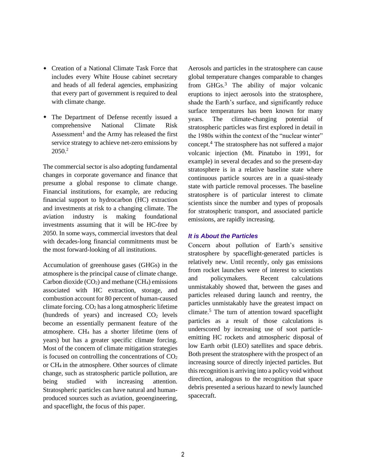- Creation of a National Climate Task Force that includes every White House cabinet secretary and heads of all federal agencies, emphasizing that every part of government is required to deal with climate change.
- The Department of Defense recently issued a comprehensive National Climate Risk Assessment<sup>1</sup> and the Army has released the first service strategy to achieve net-zero emissions by 2050. 2

The commercial sector is also adopting fundamental changes in corporate governance and finance that presume a global response to climate change. Financial institutions, for example, are reducing financial support to hydrocarbon (HC) extraction and investments at risk to a changing climate. The aviation industry is making foundational investments assuming that it will be HC-free by 2050. In some ways, commercial investors that deal with decades-long financial commitments must be the most forward-looking of all institutions.

Accumulation of greenhouse gases (GHGs) in the atmosphere is the principal cause of climate change. Carbon dioxide  $(CO_2)$  and methane  $(CH_4)$  emissions associated with HC extraction, storage, and combustion account for 80 percent of human-caused climate forcing.  $CO<sub>2</sub>$  has a long atmospheric lifetime (hundreds of years) and increased  $CO<sub>2</sub>$  levels become an essentially permanent feature of the atmosphere. CH<sup>4</sup> has a shorter lifetime (tens of years) but has a greater specific climate forcing. Most of the concern of climate mitigation strategies is focused on controlling the concentrations of  $CO<sub>2</sub>$ or CH4 in the atmosphere. Other sources of climate change, such as stratospheric particle pollution, are being studied with increasing attention. Stratospheric particles can have natural and humanproduced sources such as aviation, geoengineering, and spaceflight, the focus of this paper.

Aerosols and particles in the stratosphere can cause global temperature changes comparable to changes from GHGs.<sup>3</sup> The ability of major volcanic eruptions to inject aerosols into the stratosphere, shade the Earth's surface, and significantly reduce surface temperatures has been known for many years. The climate-changing potential of stratospheric particles was first explored in detail in the 1980s within the context of the "nuclear winter" concept.<sup>4</sup> The stratosphere has not suffered a major volcanic injection (Mt. Pinatubo in 1991, for example) in several decades and so the present-day stratosphere is in a relative baseline state where continuous particle sources are in a quasi-steady state with particle removal processes. The baseline stratosphere is of particular interest to climate scientists since the number and types of proposals for stratospheric transport, and associated particle emissions, are rapidly increasing.

#### *It is About the Particles*

Concern about pollution of Earth's sensitive stratosphere by spaceflight-generated particles is relatively new. Until recently, only gas emissions from rocket launches were of interest to scientists and policymakers. Recent calculations unmistakably showed that, between the gases and particles released during launch and reentry, the particles unmistakably have the greatest impact on climate.<sup>5</sup> The turn of attention toward spaceflight particles as a result of those calculations is underscored by increasing use of soot particleemitting HC rockets and atmospheric disposal of low Earth orbit (LEO) satellites and space debris. Both present the stratosphere with the prospect of an increasing source of directly injected particles. But this recognition is arriving into a policy void without direction, analogous to the recognition that space debris presented a serious hazard to newly launched spacecraft.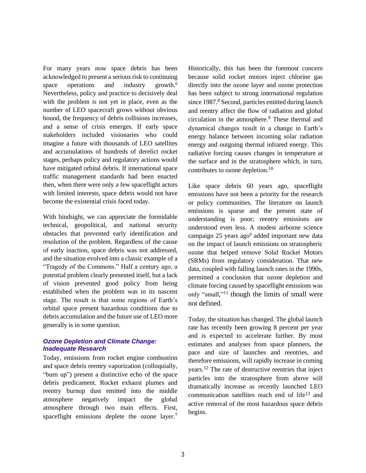For many years now space debris has been acknowledged to present a serious risk to continuing space operations and industry growth.<sup>6</sup> Nevertheless, policy and practice to decisively deal with the problem is not yet in place, even as the number of LEO spacecraft grows without obvious bound, the frequency of debris collisions increases, and a sense of crisis emerges. If early space stakeholders included visionaries who could imagine a future with thousands of LEO satellites and accumulations of hundreds of derelict rocket stages, perhaps policy and regulatory actions would have mitigated orbital debris. If international space traffic management standards had been enacted then, when there were only a few spaceflight actors with limited interests, space debris would not have become the existential crisis faced today.

With hindsight, we can appreciate the formidable technical, geopolitical, and national security obstacles that prevented early identification and resolution of the problem. Regardless of the cause of early inaction, space debris was not addressed, and the situation evolved into a classic example of a "Tragedy of the Commons." Half a century ago, a potential problem clearly presented itself, but a lack of vision prevented good policy from being established when the problem was in its nascent stage. The result is that some regions of Earth's orbital space present hazardous conditions due to debris accumulation and the future use of LEO more generally is in some question.

## *Ozone Depletion and Climate Change: Inadequate Research*

Today, emissions from rocket engine combustion and space debris reentry vaporization (colloquially, "burn up") present a distinctive echo of the space debris predicament. Rocket exhaust plumes and reentry burnup dust emitted into the middle atmosphere negatively impact the global atmosphere through two main effects. First, spaceflight emissions deplete the ozone layer.<sup>7</sup>

<span id="page-4-0"></span>Historically, this has been the foremost concern because solid rocket motors inject chlorine gas directly into the ozone layer and ozone protection has been subject to strong international regulation since 1987.<sup>8</sup> Second, particles emitted during launch and reentry affect the flow of radiation and global circulation in the atmosphere. <sup>9</sup> These thermal and dynamical changes result in a change in Earth's energy balance between incoming solar radiation energy and outgoing thermal infrared energy. This radiative forcing causes changes in temperature at the surface and in the stratosphere which, in turn, contributes to ozone depletion.<sup>10</sup>

<span id="page-4-2"></span>Like space debris 60 years ago, spaceflight emissions have not been a priority for the research or policy communities. The literature on launch emissions is sparse and the present state of understanding is poor; reentry emissions are understood even less. A modest airborne science campaign 25 years ag[o](#page-4-0)<sup>9</sup> added important new data on the impact of launch emissions on stratospheric ozone that helped remove Solid Rocket Motors (SRMs) from regulatory consideration. That new data, coupled with falling launch rates in the 1990s, permitted a conclusion that ozone depletion and climate forcing caused by spaceflight emissions was only "small," <sup>11</sup> though the limits of small were not defined.

<span id="page-4-3"></span><span id="page-4-1"></span>Today, the situation has changed. The global launch rate has recently been growing 8 percent per year and is expected to accelerate further. By most estimates and analyses from space planners, the pace and size of launches and reentries, and therefore emissions, will rapidly increase in coming years.<sup>12</sup> The rate of destructive reentries that inject particles into the stratosphere from above will dramatically increase as recently launched LEO communication satellites reach end of life<sup>13</sup> and active removal of the most hazardous space debris begins.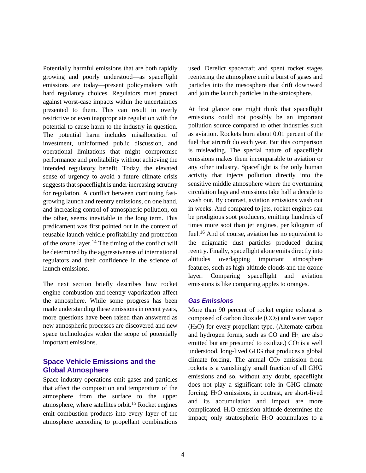Potentially harmful emissions that are both rapidly growing and poorly understood—as spaceflight emissions are today—present policymakers with hard regulatory choices. Regulators must protect against worst-case impacts within the uncertainties presented to them. This can result in overly restrictive or even inappropriate regulation with the potential to cause harm to the industry in question. The potential harm includes misallocation of investment, uninformed public discussion, and operational limitations that might compromise performance and profitability without achieving the intended regulatory benefit. Today, the elevated sense of urgency to avoid a future climate crisis suggests that spaceflight is under increasing scrutiny for regulation. A conflict between continuing fastgrowing launch and reentry emissions, on one hand, and increasing control of atmospheric pollution, on the other, seems inevitable in the long term. This predicament was first pointed out in the context of reusable launch vehicle profitability and protection of the ozone layer.<sup>14</sup> The timing of the conflict will be determined by the aggressiveness of international regulators and their confidence in the science of launch emissions.

The next section briefly describes how rocket engine combustion and reentry vaporization affect the atmosphere. While some progress has been made understanding these emissions in recent years, more questions have been raised than answered as new atmospheric processes are discovered and new space technologies widen the scope of potentially important emissions.

# **Space Vehicle Emissions and the Global Atmosphere**

Space industry operations emit gases and particles that affect the composition and temperature of the atmosphere from the surface to the upper atmosphere, where satellites orbit.<sup>15</sup> Rocket engines emit combustion products into every layer of the atmosphere according to propellant combinations

used. Derelict spacecraft and spent rocket stages reentering the atmosphere emit a burst of gases and particles into the mesosphere that drift downward and join the launch particles in the stratosphere.

At first glance one might think that spaceflight emissions could not possibly be an important pollution source compared to other industries such as aviation. Rockets burn about 0.01 percent of the fuel that aircraft do each year. But this comparison is misleading. The special nature of spaceflight emissions makes them incomparable to aviation or any other industry. Spaceflight is the only human activity that injects pollution directly into the sensitive middle atmosphere where the overturning circulation lags and emissions take half a decade to wash out. By contrast, aviation emissions wash out in weeks. And compared to jets, rocket engines can be prodigious soot producers, emitting hundreds of times more soot than jet engines, per kilogram of fuel.<sup>16</sup> And of course, aviation has no equivalent to the enigmatic dust particles produced during reentry. Finally, spaceflight alone emits directly into altitudes overlapping important atmosphere features, such as high-altitude clouds and the ozone layer. Comparing spaceflight and aviation emissions is like comparing apples to oranges.

#### *Gas Emissions*

More than 90 percent of rocket engine exhaust is composed of carbon dioxide  $(CO<sub>2</sub>)$  and water vapor (H2O) for every propellant type. (Alternate carbon and hydrogen forms, such as CO and H2, are also emitted but are presumed to oxidize.)  $CO<sub>2</sub>$  is a well understood, long-lived GHG that produces a global climate forcing. The annual  $CO<sub>2</sub>$  emission from rockets is a vanishingly small fraction of all GHG emissions and so, without any doubt, spaceflight does not play a significant role in GHG climate forcing. H2O emissions, in contrast, are short-lived and its accumulation and impact are more complicated. H2O emission altitude determines the impact; only stratospheric  $H_2O$  accumulates to a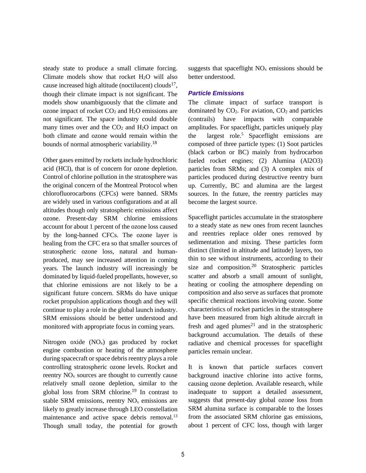steady state to produce a small climate forcing. Climate models show that rocket  $H_2O$  will also cause increased high altitude (noctilucent) clouds<sup>17</sup>, though their climate impact is not significant. The models show unambiguously that the climate and ozone impact of rocket  $CO<sub>2</sub>$  and  $H<sub>2</sub>O$  emissions are not significant. The space industry could double many times over and the  $CO<sub>2</sub>$  and  $H<sub>2</sub>O$  impact on both climate and ozone would remain within the bounds of normal atmospheric variability.<sup>18</sup>

Other gases emitted by rockets include hydrochloric acid (HCl), that is of concern for ozone depletion. Control of chlorine pollution in the stratosphere was the original concern of the Montreal Protocol when chlorofluorocarbons (CFCs) were banned. SRMs are widely used in various configurations and at all altitudes though only stratospheric emissions affect ozone. Present-day SRM chlorine emissions account for about 1 percent of the ozone loss caused by the long-banned CFCs. The ozone layer is healing from the CFC era so that smaller sources of stratospheric ozone loss, natural and humanproduced, may see increased attention in coming years. The launch industry will increasingly be dominated by liquid-fueled propellants, however, so that chlorine emissions are not likely to be a significant future concern. SRMs do have unique rocket propulsion applications though and they will continue to play a role in the global launch industry. SRM emissions should be better understood and monitored with appropriate focus in coming years.

Nitrogen oxide  $(NO<sub>x</sub>)$  gas produced by rocket engine combustion or heating of the atmosphere during spacecraft or space debris reentry plays a role controlling stratospheric ozone levels. Rocket and reentry  $NO<sub>x</sub>$  sources are thought to currently cause relatively small ozone depletion, similar to the global loss from SRM chlorine.<sup>19</sup> In contrast to stable SRM emissions, reentry  $NO<sub>x</sub>$  emissions are likely to greatly increase through LEO constellation maintenance and active space debris removal.<sup>[13](#page-4-1)</sup> Though small today, the potential for growth

suggests that spaceflight  $NO<sub>x</sub>$  emissions should be better understood.

#### *Particle Emissions*

The climate impact of surface transport is dominated by  $CO<sub>2</sub>$ . For aviation,  $CO<sub>2</sub>$  and particles (contrails) have impacts with comparable amplitudes. For spaceflight, particles uniquely play the largest role.<sup>5</sup> Spaceflight emissions are composed of three particle types: (1) Soot particles (black carbon or BC) mainly from hydrocarbon fueled rocket engines; (2) Alumina (Al2O3) particles from SRMs; and (3) A complex mix of particles produced during destructive reentry burn up. Currently, BC and alumina are the largest sources. In the future, the reentry particles may become the largest source.

<span id="page-6-0"></span>Spaceflight particles accumulate in the stratosphere to a steady state as new ones from recent launches and reentries replace older ones removed by sedimentation and mixing. These particles form distinct (limited in altitude and latitude) layers, too thin to see without instruments, according to their size and composition.<sup>20</sup> Stratospheric particles scatter and absorb a small amount of sunlight, heating or cooling the atmosphere depending on composition and also serve as surfaces that promote specific chemical reactions involving ozone. Some characteristics of rocket particles in the stratosphere have been measured from high altitude aircraft in fresh and aged plumes<sup>21</sup> and in the stratospheric background accumulation. The details of these radiative and chemical processes for spaceflight particles remain unclear.

It is known that particle surfaces convert background inactive chlorine into active forms, causing ozone depletion. Available research, while inadequate to support a detailed assessment, suggests that present-day global ozone loss from SRM alumina surface is comparable to the losses from the associated SRM chlorine gas emissions, about 1 percent of CFC loss, though with larger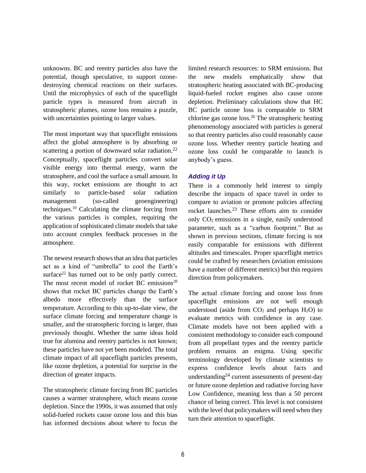unknowns. BC and reentry particles also have the potential, though speculative, to support ozonedestroying chemical reactions on their surfaces. Until the microphysics of each of the spaceflight particle types is measured from aircraft in stratospheric plumes, ozone loss remains a puzzle, with uncertainties pointing to larger values.

The most important way that spaceflight emissions affect the global atmosphere is by absorbing or scattering a portion of downward solar radiation.<sup>22</sup> Conceptually, spaceflight particles convert solar visible energy into thermal energy, warm the stratosphere, and cool the surface a small amount. In this way, rocket emissions are thought to act similarly to particle-based solar radiation management (so-called geoengineering) techniques. [10](#page-4-2) Calculating the climate forcing from the various particles is complex, requiring the application of sophisticated climate models that take into account complex feedback processes in the atmosphere.

The newest research shows that an idea that particles act as a kind of "umbrella" to cool the Earth's surface $22$  has turned out to be only partly correct. The most recent model of rocket BC emissions $20$ shows that rocket BC particles change the Earth's albedo more effectively than the surface temperature. According to this up-to-date view, the surface climate forcing and temperature change is smaller, and the stratospheric forcing is larger, than previously thought. Whether the same ideas hold true for alumina and reentry particles is not known; these particles have not yet been modeled. The total climate impact of all spaceflight particles presents, like ozone depletion, a potential for surprise in the direction of greater impacts.

The stratospheric climate forcing from BC particles causes a warmer stratosphere, which means ozone depletion. Since the 1990s, it was assumed that only solid-fueled rockets cause ozone loss and this bias has informed decisions about where to focus the limited research resources: to SRM emissions. But the new models emphatically show that stratospheric heating associated with BC-producing liquid-fueled rocket engines also cause ozone depletion. Preliminary calculations show that HC BC particle ozone loss is comparable to SRM chlorine gas ozone loss.<sup>[20](#page-6-0)</sup> The stratospheric heating phenomenology associated with particles is general so that reentry particles also could reasonably cause ozone loss. Whether reentry particle heating and ozone loss could be comparable to launch is anybody's guess.

# <span id="page-7-0"></span>*Adding it Up*

<span id="page-7-1"></span>There is a commonly held interest to simply describe the impacts of space travel in order to compare to aviation or promote policies affecting rocket launches.<sup>23</sup> These efforts aim to consider only CO2 emissions in a single, easily understood parameter, such as a "carbon footprint." But as shown in previous sections, climate forcing is not easily comparable for emissions with different altitudes and timescales. Proper spaceflight metrics could be crafted by researchers (aviation emissions have a number of different metrics) but this requires direction from policymakers.

The actual climate forcing and ozone loss from spaceflight emissions are not well enough understood (aside from  $CO<sub>2</sub>$  and perhaps  $H<sub>2</sub>O$ ) to evaluate metrics with confidence in any case. Climate models have not been applied with a consistent methodology to consider each compound from all propellant types and the reentry particle problem remains an enigma. Using specific terminology developed by climate scientists to express confidence levels about facts and understanding<sup>24</sup> current assessments of present-day or future ozone depletion and radiative forcing have Low Confidence, meaning less than a 50 percent chance of being correct. This level is not consistent with the level that policymakers will need when they turn their attention to spaceflight.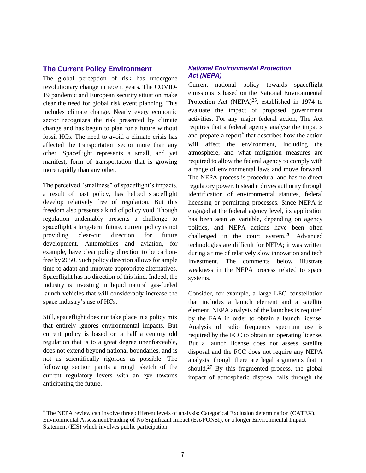# **The Current Policy Environment**

The global perception of risk has undergone revolutionary change in recent years. The COVID-19 pandemic and European security situation make clear the need for global risk event planning. This includes climate change. Nearly every economic sector recognizes the risk presented by climate change and has begun to plan for a future without fossil HCs. The need to avoid a climate crisis has affected the transportation sector more than any other. Spaceflight represents a small, and yet manifest, form of transportation that is growing more rapidly than any other.

The perceived "smallness" of spaceflight's impacts, a result of past policy, has helped spaceflight develop relatively free of regulation. But this freedom also presents a kind of policy void. Though regulation undeniably presents a challenge to spaceflight's long-term future, current policy is not providing clear-cut direction for future development. Automobiles and aviation, for example, have clear policy direction to be carbonfree by 2050. Such policy direction allows for ample time to adapt and innovate appropriate alternatives. Spaceflight has no direction of this kind. Indeed, the industry is investing in liquid natural gas-fueled launch vehicles that will considerably increase the space industry's use of HCs.

Still, spaceflight does not take place in a policy mix that entirely ignores environmental impacts. But current policy is based on a half a century old regulation that is to a great degree unenforceable, does not extend beyond national boundaries, and is not as scientifically rigorous as possible. The following section paints a rough sketch of the current regulatory levers with an eye towards anticipating the future.

## *National Environmental Protection Act (NEPA)*

Current national policy towards spaceflight emissions is based on the National Environmental Protection Act (NEPA)<sup>25</sup>, established in 1974 to evaluate the impact of proposed government activities. For any major federal action, The Act requires that a federal agency analyze the impacts and prepare a report\* that describes how the action will affect the environment, including the atmosphere, and what mitigation measures are required to allow the federal agency to comply with a range of environmental laws and move forward. The NEPA process is procedural and has no direct regulatory power. Instead it drives authority through identification of environmental statutes, federal licensing or permitting processes. Since NEPA is engaged at the federal agency level, its application has been seen as variable, depending on agency politics, and NEPA actions have been often challenged in the court system.<sup>26</sup> Advanced technologies are difficult for NEPA; it was written during a time of relatively slow innovation and tech investment. The comments below illustrate weakness in the NEPA process related to space systems.

Consider, for example, a large LEO constellation that includes a launch element and a satellite element. NEPA analysis of the launches is required by the FAA in order to obtain a launch license. Analysis of radio frequency spectrum use is required by the FCC to obtain an operating license. But a launch license does not assess satellite disposal and the FCC does not require any NEPA analysis, though there are legal arguments that it should.<sup>27</sup> By this fragmented process, the global impact of atmospheric disposal falls through the

<sup>\*</sup> The NEPA review can involve three different levels of analysis: Categorical Exclusion determination (CATEX), Environmental Assessment/Finding of No Significant Impact (EA/FONSI), or a longer Environmental Impact Statement (EIS) which involves public participation.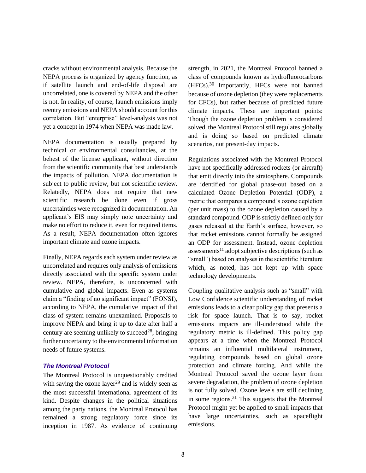cracks without environmental analysis. Because the NEPA process is organized by agency function, as if satellite launch and end-of-life disposal are uncorrelated, one is covered by NEPA and the other is not. In reality, of course, launch emissions imply reentry emissions and NEPA should account for this correlation. But "enterprise" level-analysis was not yet a concept in 1974 when NEPA was made law.

NEPA documentation is usually prepared by technical or environmental consultancies, at the behest of the license applicant, without direction from the scientific community that best understands the impacts of pollution. NEPA documentation is subject to public review, but not scientific review. Relatedly, NEPA does not require that new scientific research be done even if gross uncertainties were recognized in documentation. An applicant's EIS may simply note uncertainty and make no effort to reduce it, even for required items. As a result, NEPA documentation often ignores important climate and ozone impacts.

Finally, NEPA regards each system under review as uncorrelated and requires only analysis of emissions directly associated with the specific system under review. NEPA, therefore, is unconcerned with cumulative and global impacts. Even as systems claim a "finding of no significant impact" (FONSI), according to NEPA, the cumulative impact of that class of system remains unexamined. Proposals to improve NEPA and bring it up to date after half a century are seeming unlikely to succeed<sup>28</sup>, bringing further uncertainty to the environmental information needs of future systems.

## *The Montreal Protocol*

The Montreal Protocol is unquestionably credited with saving the ozone layer<sup>29</sup> and is widely seen as the most successful international agreement of its kind. Despite changes in the political situations among the party nations, the Montreal Protocol has remained a strong regulatory force since its inception in 1987. As evidence of continuing strength, in 2021, the Montreal Protocol banned a class of compounds known as hydrofluorocarbons (HFCs).<sup>30</sup> Importantly, HFCs were not banned because of ozone depletion (they were replacements for CFCs), but rather because of predicted future climate impacts. These are important points: Though the ozone depletion problem is considered solved, the Montreal Protocol still regulates globally and is doing so based on predicted climate scenarios, not present-day impacts.

Regulations associated with the Montreal Protocol have not specifically addressed rockets (or aircraft) that emit directly into the stratosphere. Compounds are identified for global phase-out based on a calculated Ozone Depletion Potential (ODP), a metric that compares a compound's ozone depletion (per unit mass) to the ozone depletion caused by a standard compound. ODP is strictly defined only for gases released at the Earth's surface, however, so that rocket emissions cannot formally be assigned an ODP for assessment. Instead, ozone depletion  $assessments<sup>11</sup>$  $assessments<sup>11</sup>$  $assessments<sup>11</sup>$  adopt subjective descriptions (such as "small") based on analyses in the scientific literature which, as noted, has not kept up with space technology developments.

Coupling qualitative analysis such as "small" with Low Confidence scientific understanding of rocket emissions leads to a clear policy gap that presents a risk for space launch. That is to say, rocket emissions impacts are ill-understood while the regulatory metric is ill-defined. This policy gap appears at a time when the Montreal Protocol remains an influential multilateral instrument, regulating compounds based on global ozone protection and climate forcing. And while the Montreal Protocol saved the ozone layer from severe degradation, the problem of ozone depletion is not fully solved. Ozone levels are still declining in some regions.<sup>31</sup> This suggests that the Montreal Protocol might yet be applied to small impacts that have large uncertainties, such as spaceflight emissions.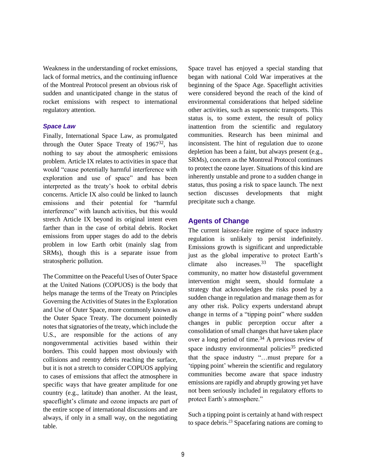Weakness in the understanding of rocket emissions, lack of formal metrics, and the continuing influence of the Montreal Protocol present an obvious risk of sudden and unanticipated change in the status of rocket emissions with respect to international regulatory attention.

#### *Space Law*

Finally, International Space Law, as promulgated through the Outer Space Treaty of  $1967^{32}$ , has nothing to say about the atmospheric emissions problem. Article IX relates to activities in space that would "cause potentially harmful interference with exploration and use of space" and has been interpreted as the treaty's hook to orbital debris concerns. Article IX also could be linked to launch emissions and their potential for "harmful interference" with launch activities, but this would stretch Article IX beyond its original intent even farther than in the case of orbital debris. Rocket emissions from upper stages do add to the debris problem in low Earth orbit (mainly slag from SRMs), though this is a separate issue from stratospheric pollution.

The Committee on the Peaceful Uses of Outer Space at the United Nations (COPUOS) is the body that helps manage the terms of the Treaty on Principles Governing the Activities of States in the Exploration and Use of Outer Space, more commonly known as the Outer Space Treaty. The document pointedly notes that signatories of the treaty, which include the U.S., are responsible for the actions of any nongovernmental activities based within their borders. This could happen most obviously with collisions and reentry debris reaching the surface, but it is not a stretch to consider COPUOS applying to cases of emissions that affect the atmosphere in specific ways that have greater amplitude for one country (e.g., latitude) than another. At the least, spaceflight's climate and ozone impacts are part of the entire scope of international discussions and are always, if only in a small way, on the negotiating table.

Space travel has enjoyed a special standing that began with national Cold War imperatives at the beginning of the Space Age. Spaceflight activities were considered beyond the reach of the kind of environmental considerations that helped sideline other activities, such as supersonic transports. This status is, to some extent, the result of policy inattention from the scientific and regulatory communities. Research has been minimal and inconsistent. The hint of regulation due to ozone depletion has been a faint, but always present (e.g., SRMs), concern as the Montreal Protocol continues to protect the ozone layer. Situations of this kind are inherently unstable and prone to a sudden change in status, thus posing a risk to space launch. The next section discusses developments that might precipitate such a change.

# **Agents of Change**

The current laissez-faire regime of space industry regulation is unlikely to persist indefinitely. Emissions growth is significant and unpredictable just as the global imperative to protect Earth's climate also increases.  $33$  The spaceflight community, no matter how distasteful government intervention might seem, should formulate a strategy that acknowledges the risks posed by a sudden change in regulation and manage them as for any other risk. Policy experts understand abrupt change in terms of a "tipping point" where sudden changes in public perception occur after a consolidation of small changes that have taken place over a long period of time.<sup>34</sup> A previous review of space industry environmental policies<sup>35</sup> predicted that the space industry "…must prepare for a 'tipping point' wherein the scientific and regulatory communities become aware that space industry emissions are rapidly and abruptly growing yet have not been seriously included in regulatory efforts to protect Earth's atmosphere."

Such a tipping point is certainly at hand with respect to space debris.[23](#page-7-1) Spacefaring nations are coming to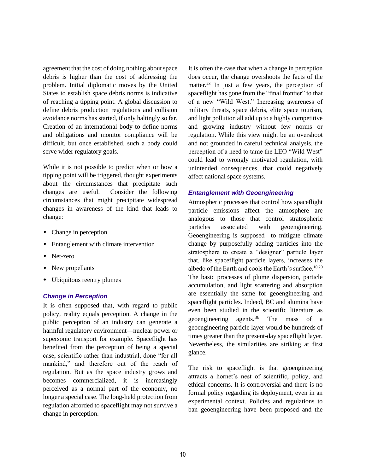agreement that the cost of doing nothing about space debris is higher than the cost of addressing the problem. Initial diplomatic moves by the United States to establish space debris norms is indicative of reaching a tipping point. A global discussion to define debris production regulations and collision avoidance norms has started, if only haltingly so far. Creation of an international body to define norms and obligations and monitor compliance will be difficult, but once established, such a body could serve wider regulatory goals.

While it is not possible to predict when or how a tipping point will be triggered, thought experiments about the circumstances that precipitate such changes are useful. Consider the following circumstances that might precipitate widespread changes in awareness of the kind that leads to change:

- Change in perception
- Entanglement with climate intervention
- Net-zero
- New propellants
- Ubiquitous reentry plumes

#### *Change in Perception*

It is often supposed that, with regard to public policy, reality equals perception. A change in the public perception of an industry can generate a harmful regulatory environment—nuclear power or supersonic transport for example. Spaceflight has benefited from the perception of being a special case, scientific rather than industrial, done "for all mankind," and therefore out of the reach of regulation. But as the space industry grows and becomes commercialized, it is increasingly perceived as a normal part of the economy, no longer a special case. The long-held protection from regulation afforded to spaceflight may not survive a change in perception.

It is often the case that when a change in perception does occur, the change overshoots the facts of the matter.<sup>[23](#page-7-1)</sup> In just a few years, the perception of spaceflight has gone from the "final frontier" to that of a new "Wild West." Increasing awareness of military threats, space debris, elite space tourism, and light pollution all add up to a highly competitive and growing industry without few norms or regulation. While this view might be an overshoot and not grounded in careful technical analysis, the perception of a need to tame the LEO "Wild West" could lead to wrongly motivated regulation, with unintended consequences, that could negatively affect national space systems.

#### *Entanglement with Geoengineering*

Atmospheric processes that control how spaceflight particle emissions affect the atmosphere are analogous to those that control stratospheric particles associated with geoengineering. Geoengineering is supposed to mitigate climate change by purposefully adding particles into the stratosphere to create a "designer" particle layer that, like spaceflight particle layers, increases the albedo of the Earth and cools the Earth's surface.<sup>[10,](#page-4-2)[20](#page-6-0)</sup> The basic processes of plume dispersion, particle accumulation, and light scattering and absorption are essentially the same for geoengineering and spaceflight particles. Indeed, BC and alumina have even been studied in the scientific literature as geoengineering agents.<sup>36</sup> The mass of a geoengineering particle layer would be hundreds of times greater than the present-day spaceflight layer. Nevertheless, the similarities are striking at first glance.

The risk to spaceflight is that geoengineering attracts a hornet's nest of scientific, policy, and ethical concerns. It is controversial and there is no formal policy regarding its deployment, even in an experimental context. Policies and regulations to ban geoengineering have been proposed and the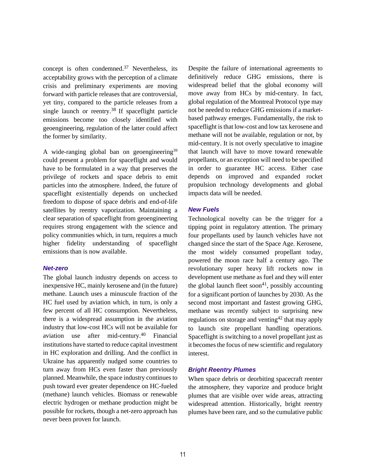concept is often condemned.<sup>37</sup> Nevertheless, its acceptability grows with the perception of a climate crisis and preliminary experiments are moving forward with particle releases that are controversial, yet tiny, compared to the particle releases from a single launch or reentry.<sup>38</sup> If spaceflight particle emissions become too closely identified with geoengineering, regulation of the latter could affect the former by similarity.

A wide-ranging global ban on geoengineering<sup>39</sup> could present a problem for spaceflight and would have to be formulated in a way that preserves the privilege of rockets and space debris to emit particles into the atmosphere. Indeed, the future of spaceflight existentially depends on unchecked freedom to dispose of space debris and end-of-life satellites by reentry vaporization. Maintaining a clear separation of spaceflight from geoengineering requires strong engagement with the science and policy communities which, in turn, requires a much higher fidelity understanding of spaceflight emissions than is now available.

## *Net-zero*

The global launch industry depends on access to inexpensive HC, mainly kerosene and (in the future) methane. Launch uses a minuscule fraction of the HC fuel used by aviation which, in turn, is only a few percent of all HC consumption. Nevertheless, there is a widespread assumption in the aviation industry that low-cost HCs will not be available for aviation use after mid-century.<sup>40</sup> Financial institutions have started to reduce capital investment in HC exploration and drilling. And the conflict in Ukraine has apparently nudged some countries to turn away from HCs even faster than previously planned. Meanwhile, the space industry continues to push toward ever greater dependence on HC-fueled (methane) launch vehicles. Biomass or renewable electric hydrogen or methane production might be possible for rockets, though a net-zero approach has never been proven for launch.

Despite the failure of international agreements to definitively reduce GHG emissions, there is widespread belief that the global economy will move away from HCs by mid-century. In fact, global regulation of the Montreal Protocol type may not be needed to reduce GHG emissions if a marketbased pathway emerges. Fundamentally, the risk to spaceflight is that low-cost and low tax kerosene and methane will not be available, regulation or not, by mid-century. It is not overly speculative to imagine that launch will have to move toward renewable propellants, or an exception will need to be specified in order to guarantee HC access. Either case depends on improved and expanded rocket propulsion technology developments and global impacts data will be needed.

#### *New Fuels*

Technological novelty can be the trigger for a tipping point in regulatory attention. The primary four propellants used by launch vehicles have not changed since the start of the Space Age. Kerosene, the most widely consumed propellant today, powered the moon race half a century ago. The revolutionary super heavy lift rockets now in development use methane as fuel and they will enter the global launch fleet soon<sup>41</sup>, possibly accounting for a significant portion of launches by 2030. As the second most important and fastest growing GHG, methane was recently subject to surprising new regulations on storage and venting  $42$  that may apply to launch site propellant handling operations. Spaceflight is switching to a novel propellant just as it becomes the focus of new scientific and regulatory interest.

## *Bright Reentry Plumes*

When space debris or deorbiting spacecraft reenter the atmosphere, they vaporize and produce bright plumes that are visible over wide areas, attracting widespread attention. Historically, bright reentry plumes have been rare, and so the cumulative public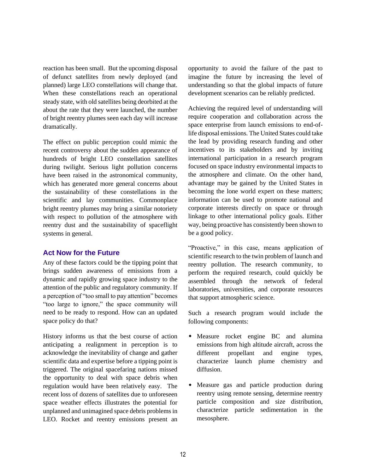reaction has been small. But the upcoming disposal of defunct satellites from newly deployed (and planned) large LEO constellations will change that. When these constellations reach an operational steady state, with old satellites being deorbited at the about the rate that they were launched, the number of bright reentry plumes seen each day will increase dramatically.

The effect on public perception could mimic the recent controversy about the sudden appearance of hundreds of bright LEO constellation satellites during twilight. Serious light pollution concerns have been raised in the astronomical community, which has generated more general concerns about the sustainability of these constellations in the scientific and lay communities. Commonplace bright reentry plumes may bring a similar notoriety with respect to pollution of the atmosphere with reentry dust and the sustainability of spaceflight systems in general.

# **Act Now for the Future**

Any of these factors could be the tipping point that brings sudden awareness of emissions from a dynamic and rapidly growing space industry to the attention of the public and regulatory community. If a perception of "too small to pay attention" becomes "too large to ignore," the space community will need to be ready to respond. How can an updated space policy do that?

History informs us that the best course of action anticipating a realignment in perception is to acknowledge the inevitability of change and gather scientific data and expertise before a tipping point is triggered. The original spacefaring nations missed the opportunity to deal with space debris when regulation would have been relatively easy. The recent loss of dozens of satellites due to unforeseen space weather effects illustrates the potential for unplanned and unimagined space debris problems in LEO. Rocket and reentry emissions present an

opportunity to avoid the failure of the past to imagine the future by increasing the level of understanding so that the global impacts of future development scenarios can be reliably predicted.

Achieving the required level of understanding will require cooperation and collaboration across the space enterprise from launch emissions to end-oflife disposal emissions. The United States could take the lead by providing research funding and other incentives to its stakeholders and by inviting international participation in a research program focused on space industry environmental impacts to the atmosphere and climate. On the other hand, advantage may be gained by the United States in becoming the lone world expert on these matters; information can be used to promote national and corporate interests directly on space or through linkage to other international policy goals. Either way, being proactive has consistently been shown to be a good policy.

"Proactive," in this case, means application of scientific research to the twin problem of launch and reentry pollution. The research community, to perform the required research, could quickly be assembled through the network of federal laboratories, universities, and corporate resources that support atmospheric science.

Such a research program would include the following components:

- Measure rocket engine BC and alumina emissions from high altitude aircraft, across the different propellant and engine types, characterize launch plume chemistry and diffusion.
- Measure gas and particle production during reentry using remote sensing, determine reentry particle composition and size distribution, characterize particle sedimentation in the mesosphere.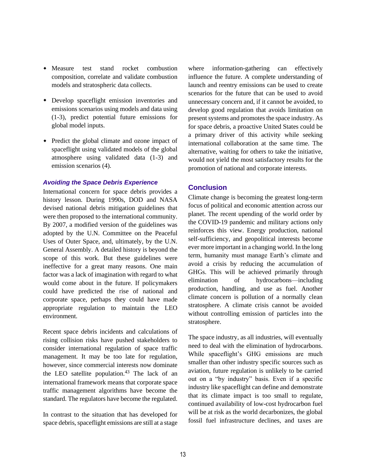- Measure test stand rocket combustion composition, correlate and validate combustion models and stratospheric data collects.
- Develop spaceflight emission inventories and emissions scenarios using models and data using (1-3), predict potential future emissions for global model inputs.
- Predict the global climate and ozone impact of spaceflight using validated models of the global atmosphere using validated data (1-3) and emission scenarios (4).

#### *Avoiding the Space Debris Experience*

International concern for space debris provides a history lesson. During 1990s, DOD and NASA devised national debris mitigation guidelines that were then proposed to the international community. By 2007, a modified version of the guidelines was adopted by the U.N. Committee on the Peaceful Uses of Outer Space, and, ultimately, by the U.N. General Assembly. A detailed history is beyond the scope of this work. But these guidelines were ineffective for a great many reasons. One main factor was a lack of imagination with regard to what would come about in the future. If policymakers could have predicted the rise of national and corporate space, perhaps they could have made appropriate regulation to maintain the LEO environment.

Recent space debris incidents and calculations of rising collision risks have pushed stakeholders to consider international regulation of space traffic management. It may be too late for regulation, however, since commercial interests now dominate the LEO satellite population.<sup>43</sup> The lack of an international framework means that corporate space traffic management algorithms have become the standard. The regulators have become the regulated.

In contrast to the situation that has developed for space debris, spaceflight emissions are still at a stage

where information-gathering can effectively influence the future. A complete understanding of launch and reentry emissions can be used to create scenarios for the future that can be used to avoid unnecessary concern and, if it cannot be avoided, to develop good regulation that avoids limitation on present systems and promotes the space industry. As for space debris, a proactive United States could be a primary driver of this activity while seeking international collaboration at the same time. The alternative, waiting for others to take the initiative, would not yield the most satisfactory results for the promotion of national and corporate interests.

# **Conclusion**

Climate change is becoming the greatest long-term focus of political and economic attention across our planet. The recent upending of the world order by the COVID-19 pandemic and military actions only reinforces this view. Energy production, national self-sufficiency, and geopolitical interests become ever more important in a changing world. In the long term, humanity must manage Earth's climate and avoid a crisis by reducing the accumulation of GHGs. This will be achieved primarily through elimination of hydrocarbons—including production, handling, and use as fuel. Another climate concern is pollution of a normally clean stratosphere. A climate crisis cannot be avoided without controlling emission of particles into the stratosphere.

The space industry, as all industries, will eventually need to deal with the elimination of hydrocarbons. While spaceflight's GHG emissions are much smaller than other industry specific sources such as aviation, future regulation is unlikely to be carried out on a "by industry" basis. Even if a specific industry like spaceflight can define and demonstrate that its climate impact is too small to regulate, continued availability of low-cost hydrocarbon fuel will be at risk as the world decarbonizes, the global fossil fuel infrastructure declines, and taxes are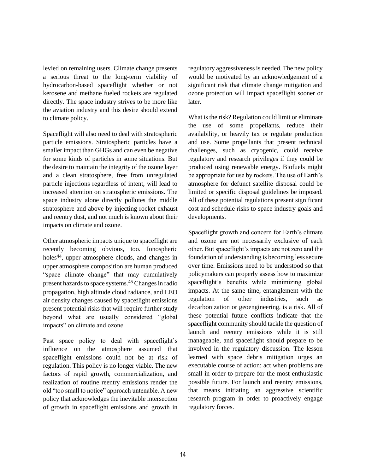levied on remaining users. Climate change presents a serious threat to the long-term viability of hydrocarbon-based spaceflight whether or not kerosene and methane fueled rockets are regulated directly. The space industry strives to be more like the aviation industry and this desire should extend to climate policy.

Spaceflight will also need to deal with stratospheric particle emissions. Stratospheric particles have a smaller impact than GHGs and can even be negative for some kinds of particles in some situations. But the desire to maintain the integrity of the ozone layer and a clean stratosphere, free from unregulated particle injections regardless of intent, will lead to increased attention on stratospheric emissions. The space industry alone directly pollutes the middle stratosphere and above by injecting rocket exhaust and reentry dust, and not much is known about their impacts on climate and ozone.

Other atmospheric impacts unique to spaceflight are recently becoming obvious, too. Ionospheric holes44, upper atmosphere clouds, and changes in upper atmosphere composition are human produced "space climate change" that may cumulatively present hazards to space systems.<sup>45</sup> Changes in radio propagation, high altitude cloud radiance, and LEO air density changes caused by spaceflight emissions present potential risks that will require further study beyond what are usually considered "global impacts" on climate and ozone.

Past space policy to deal with spaceflight's influence on the atmosphere assumed that spaceflight emissions could not be at risk of regulation. This policy is no longer viable. The new factors of rapid growth, commercialization, and realization of routine reentry emissions render the old "too small to notice" approach untenable. A new policy that acknowledges the inevitable intersection of growth in spaceflight emissions and growth in

regulatory aggressiveness is needed. The new policy would be motivated by an acknowledgement of a significant risk that climate change mitigation and ozone protection will impact spaceflight sooner or later.

What is the risk? Regulation could limit or eliminate the use of some propellants, reduce their availability, or heavily tax or regulate production and use. Some propellants that present technical challenges, such as cryogenic, could receive regulatory and research privileges if they could be produced using renewable energy. Biofuels might be appropriate for use by rockets. The use of Earth's atmosphere for defunct satellite disposal could be limited or specific disposal guidelines be imposed. All of these potential regulations present significant cost and schedule risks to space industry goals and developments.

Spaceflight growth and concern for Earth's climate and ozone are not necessarily exclusive of each other. But spaceflight's impacts are not zero and the foundation of understanding is becoming less secure over time. Emissions need to be understood so that policymakers can properly assess how to maximize spaceflight's benefits while minimizing global impacts. At the same time, entanglement with the regulation of other industries, such as decarbonization or geoengineering, is a risk. All of these potential future conflicts indicate that the spaceflight community should tackle the question of launch and reentry emissions while it is still manageable, and spaceflight should prepare to be involved in the regulatory discussion. The lesson learned with space debris mitigation urges an executable course of action: act when problems are small in order to prepare for the most enthusiastic possible future. For launch and reentry emissions, that means initiating an aggressive scientific research program in order to proactively engage regulatory forces.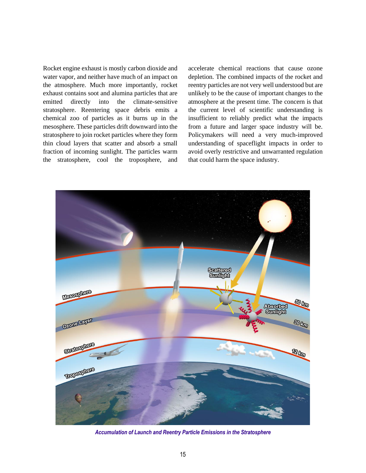Rocket engine exhaust is mostly carbon dioxide and water vapor, and neither have much of an impact on the atmosphere. Much more importantly, rocket exhaust contains soot and alumina particles that are emitted directly into the climate-sensitive stratosphere. Reentering space debris emits a chemical zoo of particles as it burns up in the mesosphere. These particles drift downward into the stratosphere to join rocket particles where they form thin cloud layers that scatter and absorb a small fraction of incoming sunlight. The particles warm the stratosphere, cool the troposphere, and accelerate chemical reactions that cause ozone depletion. The combined impacts of the rocket and reentry particles are not very well understood but are unlikely to be the cause of important changes to the atmosphere at the present time. The concern is that the current level of scientific understanding is insufficient to reliably predict what the impacts from a future and larger space industry will be. Policymakers will need a very much-improved understanding of spaceflight impacts in order to avoid overly restrictive and unwarranted regulation that could harm the space industry.



*Accumulation of Launch and Reentry Particle Emissions in the Stratosphere*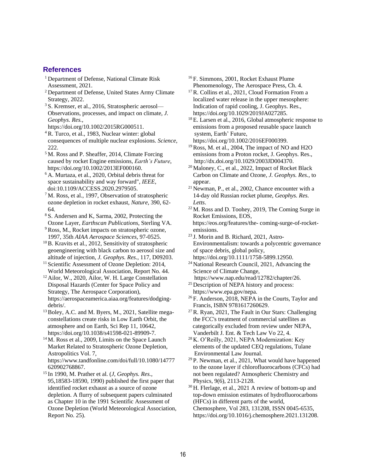## **References**

- <sup>1</sup> Department of Defense, National Climate Risk Assessment, 2021.
- <sup>2</sup> Department of Defense, United States Army Climate Strategy, 2022.
- <sup>3</sup> S. Kremser, et al., 2016, Stratospheric aerosol— Observations, processes, and impact on climate, *J. Geophys. Res.,*
- [https://doi.org/10.1002/2015RG000511.](https://doi.org/10.1002/2015RG000511) <sup>4</sup> R. Turco, et al., 1983, Nuclear winter: global consequences of multiple nuclear explosions. *Science*, 222.
- <sup>5</sup> M. Ross and P. Sheaffer, 2014, Climate Forcing caused by rocket Engine emissions, *Earth's Future*, [https://doi.org/10.1002/2013EF000160.](https://doi.org/10.1002/2013EF000160)
- <sup>6</sup> A. Murtaza, et al., 2020, Orbital debris threat for space sustainability and way forward", *IEEE,* doi:10.1109/ACCESS.2020.2979505.
- <sup>7</sup> M. Ross, et al., 1997, Observation of stratospheric ozone depletion in rocket exhaust, *Nature*, 390, 62- 64.
- <sup>8</sup> S. Andersen and K, Sarma, 2002, Protecting the Ozone Layer, *Earthscan Publications*, Sterling VA.
- <sup>9</sup> Ross, M., Rocket impacts on stratospheric ozone, 1997, 35th *AIAA Aerospace Sciences*, 97-0525.
- <sup>10</sup>B. Kravits et al., 2012, Sensitivity of stratospheric geoengineering with black carbon to aerosol size and altitude of injection, *J. Geophys. Res*., 117, D09203.
- <sup>11</sup> Scientific Assessment of Ozone Depletion: 2014, World Meteorological Association, Report No. 44.
- <sup>12</sup> Ailor, W., 2020, Ailor, W. H. Large Constellation Disposal Hazards (Center for Space Policy and Strategy, The Aerospace Corporation), [https://aerospaceamerica.aiaa.org/features/dodging](https://aerospaceamerica.aiaa.org/features/dodging-debris/)[debris/.](https://aerospaceamerica.aiaa.org/features/dodging-debris/)
- <sup>13</sup> Boley, A.C. and M. Byers, M., 2021, Satellite megaconstellations create risks in Low Earth Orbit, the atmosphere and on Earth, Sci Rep 11, 10642, [https://doi.org/10.1038/s41598-021-89909-7.](https://doi.org/10.1038/s41598-021-89909-7)
- <sup>14</sup> M. Ross et al., 2009, Limits on the Space Launch Market Related to Stratospheric Ozone Depletion, Astropolitics Vol. 7, [https://www.tandfonline.com/doi/full/10.1080/14777](https://www.tandfonline.com/doi/full/10.1080/14777620902768867) [620902768867.](https://www.tandfonline.com/doi/full/10.1080/14777620902768867)
- <sup>15</sup> In 1990, M. Prather et al. (*J, Geophys. Res.,* 95,18583-18590, 1990) published the first paper that identified rocket exhaust as a source of ozone depletion. A flurry of subsequent papers culminated as Chapter 10 in the 1991 Scientific Assessment of Ozone Depletion (World Meteorological Association, Report No. 25).

<sup>16</sup> F. Simmons, 2001, Rocket Exhaust Plume Phenomenology, The Aerospace Press, Ch. 4.

- <sup>17</sup> R. Collins et al., 2021, Cloud Formation From a localized water release in the upper mesosphere: Indication of rapid cooling, J. Geophys. Res., [https://doi.org/10.1029/2019JA027285.](https://doi.org/10.1029/2019JA027285)
- <sup>18</sup> E. Larsen et al., 2016, Global atmospheric response to emissions from a proposed reusable space launch system, Earth' Future, [https://doi.org/10.1002/2016EF000399.](https://doi.org/10.1002/2016EF000399)
- <sup>19</sup> Ross, M. et al., 2004, The impact of NO and H2O emissions from a Proton rocket, J. Geophys. Res., [http://dx.doi.org/10.1029/2003JD004370.](http://dx.doi.org/10.1029/2003JD004370)
- <sup>20</sup> Maloney, C., et al., 2022, Impact of Rocket Black Carbon on Climate and Ozone, *J. Geophys. Res.,* to appear.
- <sup>21</sup> Newman, P., et al., 2002, Chance encounter with a 14-day old Russian rocket plume, *Geophys. Res. Letts*.

<sup>22</sup> M. Ross and D. Toohey, 2019, The Coming Surge in Rocket Emissions, EOS, [https://eos.org/features/the-](https://eos.org/features/the-%20coming-surge-of-rocket-emissions) coming-surge-of-rocket[emissions.](https://eos.org/features/the-%20coming-surge-of-rocket-emissions)

- <sup>23</sup> J. Morin and B. Richard, 2021, Astro-Environmentalism: towards a polycentric governance of space debris, global policy, [https://doi.org/10.1111/1758-5899.12950.](https://doi.org/10.1111/1758-5899.12950)
- <sup>24</sup> National Research Council, 2021, Advancing the Science of Climate Change,
- [https://www.nap.edu/read/12782/chapter/26.](https://www.nap.edu/read/12782/chapter/26) <sup>25</sup> Description of NEPA history and process: [https://www.epa.gov/nepa.](https://www.epa.gov/nepa)
- <sup>26</sup> F. Anderson, 2018, NEPA in the Courts, Taylor and Francis, ISBN 9781617260629.
- $27$  R. Ryan, 2021, The Fault in Our Stars: Challenging the FCC's treatment of commercial satellites as categorically excluded from review under NEPA, Vanderbilt J. Ent. & Tech Law Vo 22, 4.
- <sup>28</sup> K. O'Reilly, 2021, NEPA Modernization: Key elements of the updated CEQ regulations, Tulane Environmental Law Journal.
- $29$  P. Newman, et al., 2021, What would have happened to the ozone layer if chlorofluorocarbons (CFCs) had not been regulated? Atmospheric Chemistry and Physics, 9(6), 2113-2128.
- <sup>30</sup> H. Flerlage, et al., 2021 A review of bottom-up and top-down emission estimates of hydrofluorocarbons (HFCs) in different parts of the world, Chemosphere, Vol 283, 131208, ISSN 0045-6535, [https://doi.org/10.1016/j.chemosphere.2021.131208.](https://doi.org/10.1016/j.chemosphere.2021.131208)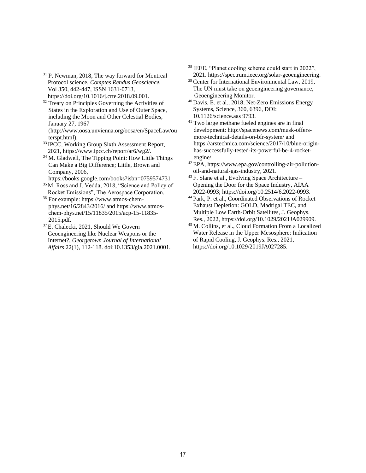- <sup>31</sup> P. Newman, 2018, The way forward for Montreal Protocol science, *Comptes Rendus Geoscience*, Vol 350, 442-447, ISSN 1631-0713, [https://doi.org/10.1016/j.crte.2018.09.001.](https://doi.org/10.1016/j.crte.2018.09.001)
- <sup>32</sup> Treaty on Principles Governing the Activities of States in the Exploration and Use of Outer Space, including the Moon and Other Celestial Bodies, January 27, 1967 [\(http://www.oosa.unvienna.org/oosa/en/SpaceLaw/ou](http://www.oosa.unvienna.org/oosa/en/SpaceLaw/outerspt.html) [terspt.html\)](http://www.oosa.unvienna.org/oosa/en/SpaceLaw/outerspt.html).
- <sup>33</sup> IPCC, Working Group Sixth Assessment Report, 2021, [https://www.ipcc.ch/report/ar6/wg2/.](https://www.ipcc.ch/report/ar6/wg2/)
- <sup>34</sup> M. Gladwell, The Tipping Point: How Little Things Can Make a Big Difference; Little, Brown and Company, 2006,
- <https://books.google.com/books?isbn=0759574731>
- <sup>35</sup> M. Ross and J. Vedda, 2018, "Science and Policy of Rocket Emissions", The Aerospace Corporation.
- <sup>36</sup> For example[: https://www.atmos-chem](https://www.atmos-chem-phys.net/16/2843/2016/)[phys.net/16/2843/2016/](https://www.atmos-chem-phys.net/16/2843/2016/) and [https://www.atmos](https://www.atmos-chem-phys.net/15/11835/2015/acp-15-11835-2015.pdf.)[chem-phys.net/15/11835/2015/acp-15-11835-](https://www.atmos-chem-phys.net/15/11835/2015/acp-15-11835-2015.pdf.) [2015.pdf.](https://www.atmos-chem-phys.net/15/11835/2015/acp-15-11835-2015.pdf.)
- <sup>37</sup> E. Chalecki, 2021, Should We Govern Geoengineering like Nuclear Weapons or the Internet?, *Georgetown Journal of International Affairs* 22(1), 112-118. doi:10.1353/gia.2021.0001.
- <sup>38</sup> IEEE, "Planet cooling scheme could start in 2022", 2021. [https://spectrum.ieee.org/solar-geoengineering.](https://spectrum.ieee.org/solar-geoengineering)
- <sup>39</sup>Center for International Environmental Law, 2019, The UN must take on geoengineering governance, Geoengineering Monitor.
- <sup>40</sup> Davis, E. et al., 2018, Net-Zero Emissions Energy Systems, Science, 360, 6396, DOI: 10.1126/science.aas 9793.
- <sup>41</sup> Two large methane fueled engines are in final development: [http://spacenews.com/musk-offers](http://spacenews.com/musk-offers-more-technical-details-on-bfr-system/)[more-technical-details-on-bfr-system/](http://spacenews.com/musk-offers-more-technical-details-on-bfr-system/) and [https://arstechnica.com/science/2017/10/blue-origin](https://arstechnica.com/science/2017/10/blue-origin-has-successfully-tested-its-powerful-be-4-rocket-engine/)[has-successfully-tested-its-powerful-be-4-rocket](https://arstechnica.com/science/2017/10/blue-origin-has-successfully-tested-its-powerful-be-4-rocket-engine/)[engine/.](https://arstechnica.com/science/2017/10/blue-origin-has-successfully-tested-its-powerful-be-4-rocket-engine/)
- <sup>42</sup> EPA, [https://www.epa.gov/controlling-air-pollution](https://www.epa.gov/controlling-air-pollution-oil-and-natural-gas-industry)[oil-and-natural-gas-industry,](https://www.epa.gov/controlling-air-pollution-oil-and-natural-gas-industry) 2021.
- $43$  F. Slane et al., Evolving Space Architecture Opening the Door for the Space Industry, AIAA 2022-0993[; https://doi.org/10.2514/6.2022-0993.](https://doi.org/10.2514/6.2022-0993)
- <sup>44</sup> Park, P. et al., Coordinated Observations of Rocket Exhaust Depletion: GOLD, Madrigal TEC, and Multiple Low Earth-Orbit Satellites, J. Geophys. Res., 2022[, https://doi.org/10.1029/2021JA029909.](https://doi.org/10.1029/2021JA029909)
- <sup>45</sup> M. Collins, et al., Cloud Formation From a Localized Water Release in the Upper Mesosphere: Indication of Rapid Cooling, J. Geophys. Res., 2021, [https://doi.org/10.1029/2019JA027285.](https://doi.org/10.1029/2019JA027285)